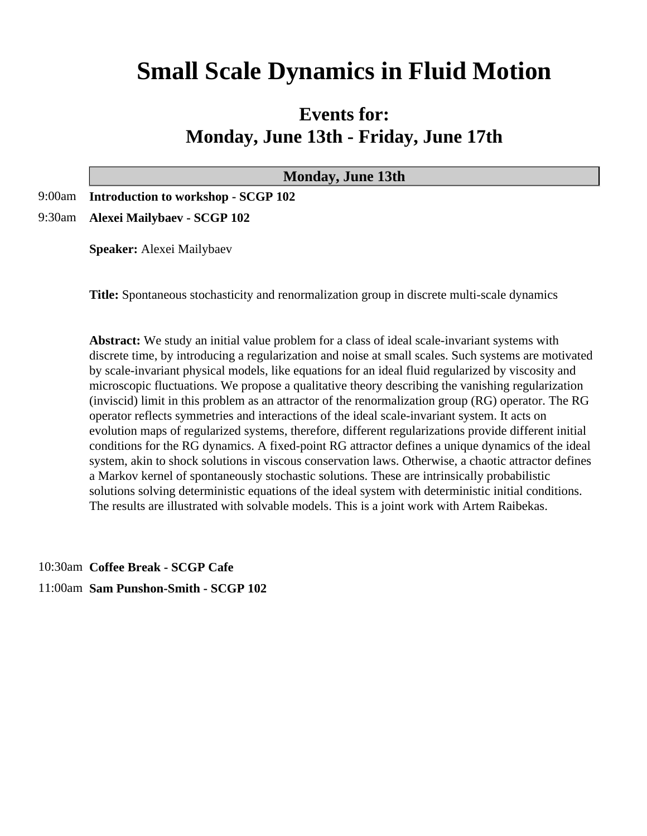# **Small Scale Dynamics in Fluid Motion**

## **Events for: Monday, June 13th - Friday, June 17th**

| <b>Monday, June 13th</b>                   |
|--------------------------------------------|
| 9:00am Introduction to workshop - SCGP 102 |
| 9:30am Alexei Mailybaev - SCGP 102         |

**Speaker:** Alexei Mailybaev

**Title:** Spontaneous stochasticity and renormalization group in discrete multi-scale dynamics

**Abstract:** We study an initial value problem for a class of ideal scale-invariant systems with discrete time, by introducing a regularization and noise at small scales. Such systems are motivated by scale-invariant physical models, like equations for an ideal fluid regularized by viscosity and microscopic fluctuations. We propose a qualitative theory describing the vanishing regularization (inviscid) limit in this problem as an attractor of the renormalization group (RG) operator. The RG operator reflects symmetries and interactions of the ideal scale-invariant system. It acts on evolution maps of regularized systems, therefore, different regularizations provide different initial conditions for the RG dynamics. A fixed-point RG attractor defines a unique dynamics of the ideal system, akin to shock solutions in viscous conservation laws. Otherwise, a chaotic attractor defines a Markov kernel of spontaneously stochastic solutions. These are intrinsically probabilistic solutions solving deterministic equations of the ideal system with deterministic initial conditions. The results are illustrated with solvable models. This is a joint work with Artem Raibekas.

10:30am **Coffee Break - SCGP Cafe**

11:00am **Sam Punshon-Smith - SCGP 102**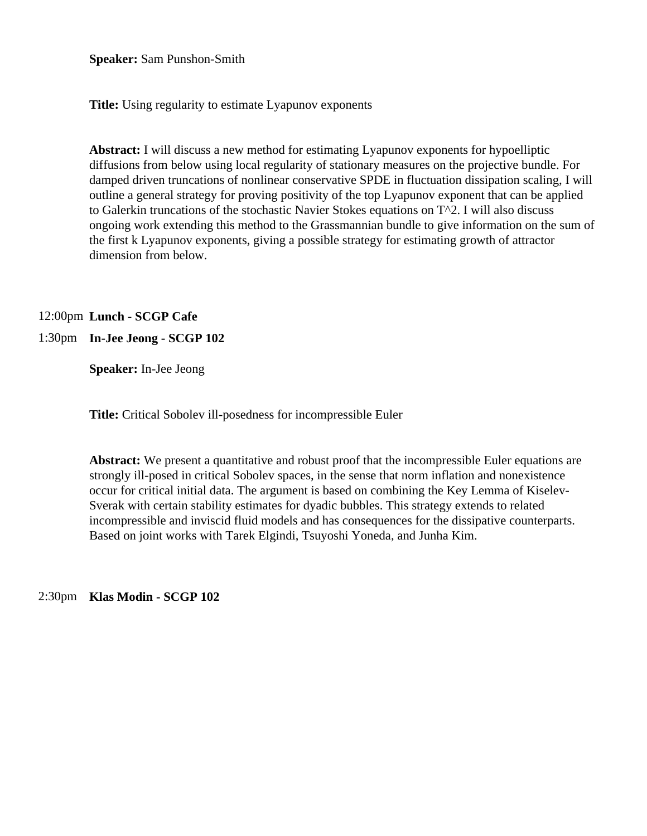**Speaker:** Sam Punshon-Smith

**Title:** Using regularity to estimate Lyapunov exponents

**Abstract:** I will discuss a new method for estimating Lyapunov exponents for hypoelliptic diffusions from below using local regularity of stationary measures on the projective bundle. For damped driven truncations of nonlinear conservative SPDE in fluctuation dissipation scaling, I will outline a general strategy for proving positivity of the top Lyapunov exponent that can be applied to Galerkin truncations of the stochastic Navier Stokes equations on T^2. I will also discuss ongoing work extending this method to the Grassmannian bundle to give information on the sum of the first k Lyapunov exponents, giving a possible strategy for estimating growth of attractor dimension from below.

12:00pm **Lunch - SCGP Cafe**

#### 1:30pm **In-Jee Jeong - SCGP 102**

**Speaker:** In-Jee Jeong

**Title:** Critical Sobolev ill-posedness for incompressible Euler

**Abstract:** We present a quantitative and robust proof that the incompressible Euler equations are strongly ill-posed in critical Sobolev spaces, in the sense that norm inflation and nonexistence occur for critical initial data. The argument is based on combining the Key Lemma of Kiselev-Sverak with certain stability estimates for dyadic bubbles. This strategy extends to related incompressible and inviscid fluid models and has consequences for the dissipative counterparts. Based on joint works with Tarek Elgindi, Tsuyoshi Yoneda, and Junha Kim.

2:30pm **Klas Modin - SCGP 102**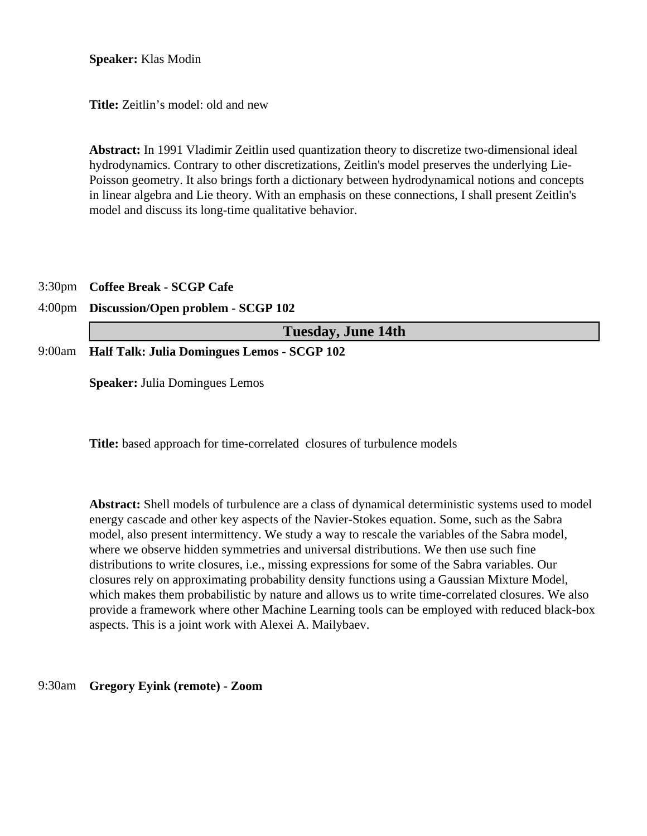**Speaker:** Klas Modin

**Title:** Zeitlin's model: old and new

**Abstract:** In 1991 Vladimir Zeitlin used quantization theory to discretize two-dimensional ideal hydrodynamics. Contrary to other discretizations, Zeitlin's model preserves the underlying Lie-Poisson geometry. It also brings forth a dictionary between hydrodynamical notions and concepts in linear algebra and Lie theory. With an emphasis on these connections, I shall present Zeitlin's model and discuss its long-time qualitative behavior.

#### 3:30pm **Coffee Break - SCGP Cafe**

#### 4:00pm **Discussion/Open problem - SCGP 102**

| <b>Tuesday, June 14th</b>                          |
|----------------------------------------------------|
| 9:00am Half Talk: Julia Domingues Lemos - SCGP 102 |

**Speaker:** Julia Domingues Lemos

**Title:** based approach for time-correlated closures of turbulence models

**Abstract:** Shell models of turbulence are a class of dynamical deterministic systems used to model energy cascade and other key aspects of the Navier-Stokes equation. Some, such as the Sabra model, also present intermittency. We study a way to rescale the variables of the Sabra model, where we observe hidden symmetries and universal distributions. We then use such fine distributions to write closures, i.e., missing expressions for some of the Sabra variables. Our closures rely on approximating probability density functions using a Gaussian Mixture Model, which makes them probabilistic by nature and allows us to write time-correlated closures. We also provide a framework where other Machine Learning tools can be employed with reduced black-box aspects. This is a joint work with Alexei A. Mailybaev.

#### 9:30am **Gregory Eyink (remote) - Zoom**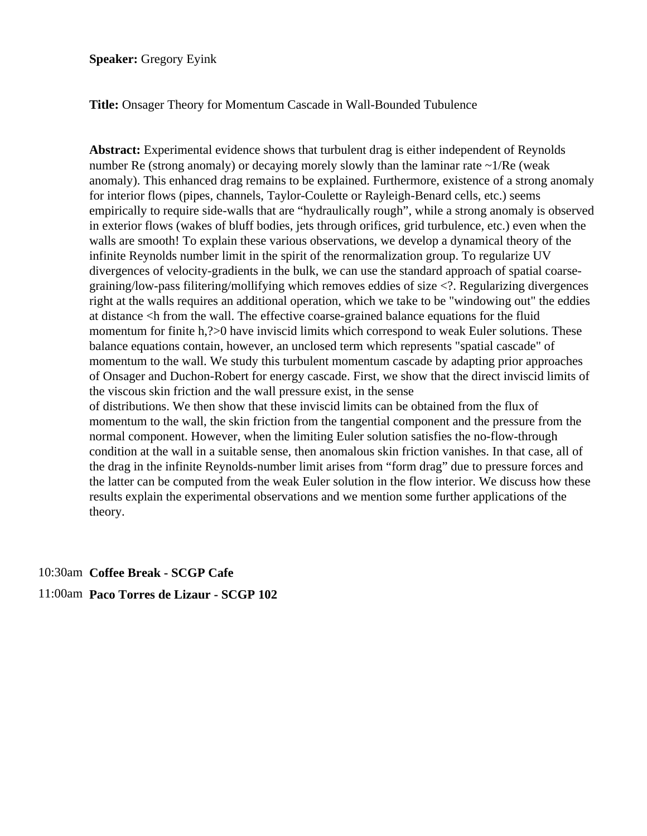**Speaker:** Gregory Eyink

**Title:** Onsager Theory for Momentum Cascade in Wall-Bounded Tubulence

**Abstract:** Experimental evidence shows that turbulent drag is either independent of Reynolds number Re (strong anomaly) or decaying morely slowly than the laminar rate  $\sim 1/Re$  (weak anomaly). This enhanced drag remains to be explained. Furthermore, existence of a strong anomaly for interior flows (pipes, channels, Taylor-Coulette or Rayleigh-Benard cells, etc.) seems empirically to require side-walls that are "hydraulically rough", while a strong anomaly is observed in exterior flows (wakes of bluff bodies, jets through orifices, grid turbulence, etc.) even when the walls are smooth! To explain these various observations, we develop a dynamical theory of the infinite Reynolds number limit in the spirit of the renormalization group. To regularize UV divergences of velocity-gradients in the bulk, we can use the standard approach of spatial coarsegraining/low-pass filitering/mollifying which removes eddies of size <?. Regularizing divergences right at the walls requires an additional operation, which we take to be "windowing out" the eddies at distance <h from the wall. The effective coarse-grained balance equations for the fluid momentum for finite h,?>0 have inviscid limits which correspond to weak Euler solutions. These balance equations contain, however, an unclosed term which represents "spatial cascade" of momentum to the wall. We study this turbulent momentum cascade by adapting prior approaches of Onsager and Duchon-Robert for energy cascade. First, we show that the direct inviscid limits of the viscous skin friction and the wall pressure exist, in the sense of distributions. We then show that these inviscid limits can be obtained from the flux of momentum to the wall, the skin friction from the tangential component and the pressure from the normal component. However, when the limiting Euler solution satisfies the no-flow-through condition at the wall in a suitable sense, then anomalous skin friction vanishes. In that case, all of the drag in the infinite Reynolds-number limit arises from "form drag" due to pressure forces and the latter can be computed from the weak Euler solution in the flow interior. We discuss how these results explain the experimental observations and we mention some further applications of the theory.

10:30am **Coffee Break - SCGP Cafe**

11:00am **Paco Torres de Lizaur - SCGP 102**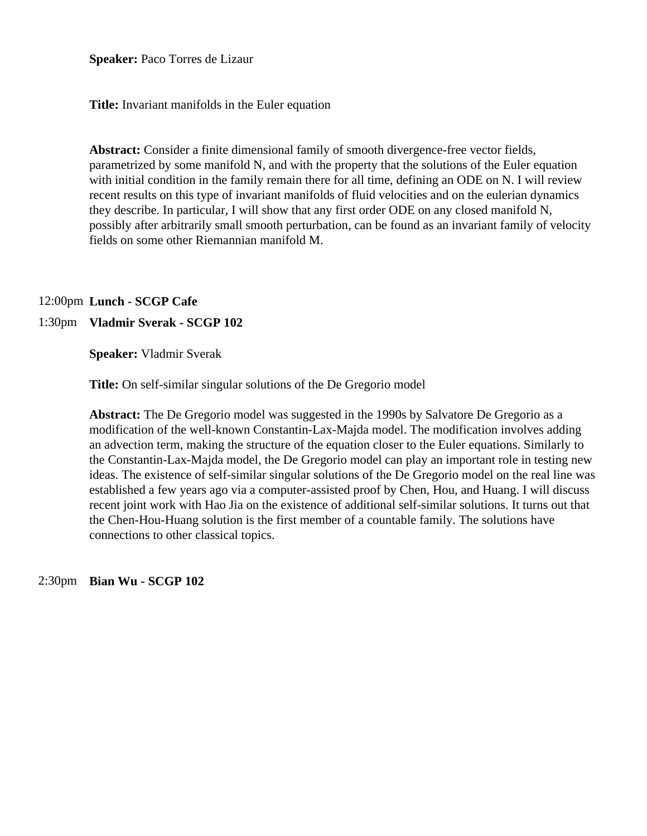**Speaker:** Paco Torres de Lizaur

**Title:** Invariant manifolds in the Euler equation

**Abstract:** Consider a finite dimensional family of smooth divergence-free vector fields, parametrized by some manifold N, and with the property that the solutions of the Euler equation with initial condition in the family remain there for all time, defining an ODE on N. I will review recent results on this type of invariant manifolds of fluid velocities and on the eulerian dynamics they describe. In particular, I will show that any first order ODE on any closed manifold N, possibly after arbitrarily small smooth perturbation, can be found as an invariant family of velocity fields on some other Riemannian manifold M.

#### 12:00pm **Lunch - SCGP Cafe**

#### 1:30pm **Vladmir Sverak - SCGP 102**

**Speaker:** Vladmir Sverak

**Title:** On self-similar singular solutions of the De Gregorio model

**Abstract:** The De Gregorio model was suggested in the 1990s by Salvatore De Gregorio as a modification of the well-known Constantin-Lax-Majda model. The modification involves adding an advection term, making the structure of the equation closer to the Euler equations. Similarly to the Constantin-Lax-Majda model, the De Gregorio model can play an important role in testing new ideas. The existence of self-similar singular solutions of the De Gregorio model on the real line was established a few years ago via a computer-assisted proof by Chen, Hou, and Huang. I will discuss recent joint work with Hao Jia on the existence of additional self-similar solutions. It turns out that the Chen-Hou-Huang solution is the first member of a countable family. The solutions have connections to other classical topics.

2:30pm **Bian Wu - SCGP 102**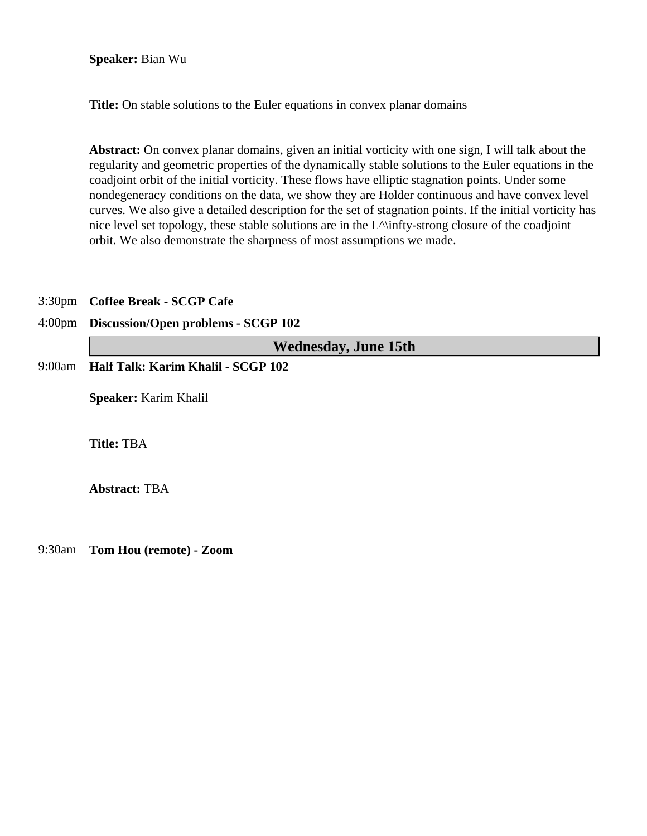#### **Speaker:** Bian Wu

**Title:** On stable solutions to the Euler equations in convex planar domains

**Abstract:** On convex planar domains, given an initial vorticity with one sign, I will talk about the regularity and geometric properties of the dynamically stable solutions to the Euler equations in the coadjoint orbit of the initial vorticity. These flows have elliptic stagnation points. Under some nondegeneracy conditions on the data, we show they are Holder continuous and have convex level curves. We also give a detailed description for the set of stagnation points. If the initial vorticity has nice level set topology, these stable solutions are in the L^\infty-strong closure of the coadjoint orbit. We also demonstrate the sharpness of most assumptions we made.

#### 3:30pm **Coffee Break - SCGP Cafe**

#### 4:00pm **Discussion/Open problems - SCGP 102**

**Wednesday, June 15th**

9:00am **Half Talk: Karim Khalil - SCGP 102**

**Speaker:** Karim Khalil

**Title:** TBA

**Abstract:** TBA

9:30am **Tom Hou (remote) - Zoom**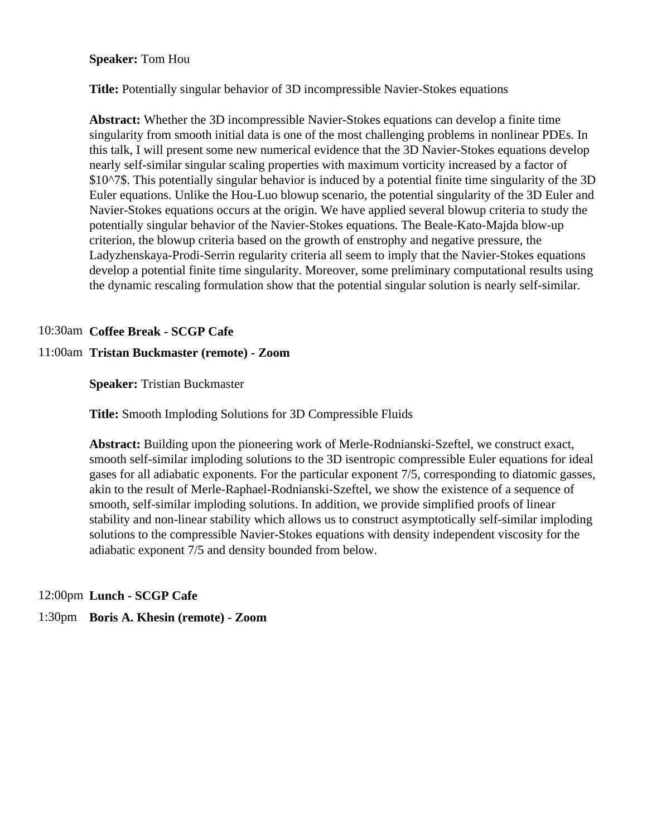#### **Speaker:** Tom Hou

**Title:** Potentially singular behavior of 3D incompressible Navier-Stokes equations

**Abstract:** Whether the 3D incompressible Navier-Stokes equations can develop a finite time singularity from smooth initial data is one of the most challenging problems in nonlinear PDEs. In this talk, I will present some new numerical evidence that the 3D Navier-Stokes equations develop nearly self-similar singular scaling properties with maximum vorticity increased by a factor of \$10^7\$. This potentially singular behavior is induced by a potential finite time singularity of the 3D Euler equations. Unlike the Hou-Luo blowup scenario, the potential singularity of the 3D Euler and Navier-Stokes equations occurs at the origin. We have applied several blowup criteria to study the potentially singular behavior of the Navier-Stokes equations. The Beale-Kato-Majda blow-up criterion, the blowup criteria based on the growth of enstrophy and negative pressure, the Ladyzhenskaya-Prodi-Serrin regularity criteria all seem to imply that the Navier-Stokes equations develop a potential finite time singularity. Moreover, some preliminary computational results using the dynamic rescaling formulation show that the potential singular solution is nearly self-similar.

#### 10:30am **Coffee Break - SCGP Cafe**

#### 11:00am **Tristan Buckmaster (remote) - Zoom**

**Speaker:** Tristian Buckmaster

**Title:** Smooth Imploding Solutions for 3D Compressible Fluids

**Abstract:** Building upon the pioneering work of Merle-Rodnianski-Szeftel, we construct exact, smooth self-similar imploding solutions to the 3D isentropic compressible Euler equations for ideal gases for all adiabatic exponents. For the particular exponent 7/5, corresponding to diatomic gasses, akin to the result of Merle-Raphael-Rodnianski-Szeftel, we show the existence of a sequence of smooth, self-similar imploding solutions. In addition, we provide simplified proofs of linear stability and non-linear stability which allows us to construct asymptotically self-similar imploding solutions to the compressible Navier-Stokes equations with density independent viscosity for the adiabatic exponent 7/5 and density bounded from below.

#### 12:00pm **Lunch - SCGP Cafe**

#### 1:30pm **Boris A. Khesin (remote) - Zoom**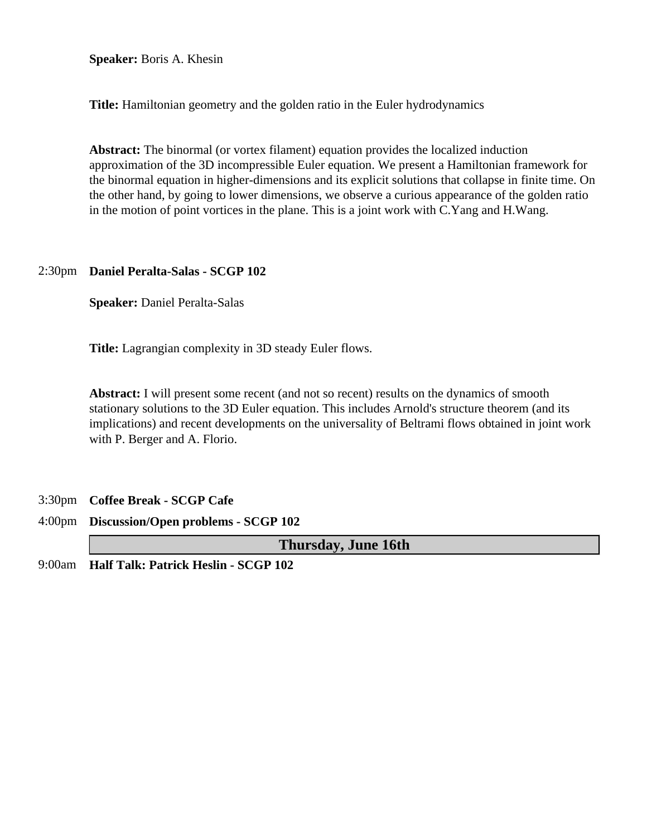**Speaker:** Boris A. Khesin

**Title:** Hamiltonian geometry and the golden ratio in the Euler hydrodynamics

**Abstract:** The binormal (or vortex filament) equation provides the localized induction approximation of the 3D incompressible Euler equation. We present a Hamiltonian framework for the binormal equation in higher-dimensions and its explicit solutions that collapse in finite time. On the other hand, by going to lower dimensions, we observe a curious appearance of the golden ratio in the motion of point vortices in the plane. This is a joint work with C.Yang and H.Wang.

#### 2:30pm **Daniel Peralta-Salas - SCGP 102**

**Speaker:** Daniel Peralta-Salas

**Title:** Lagrangian complexity in 3D steady Euler flows.

**Abstract:** I will present some recent (and not so recent) results on the dynamics of smooth stationary solutions to the 3D Euler equation. This includes Arnold's structure theorem (and its implications) and recent developments on the universality of Beltrami flows obtained in joint work with P. Berger and A. Florio.

- 3:30pm **Coffee Break SCGP Cafe**
- 4:00pm **Discussion/Open problems SCGP 102**

**Thursday, June 16th**

9:00am **Half Talk: Patrick Heslin - SCGP 102**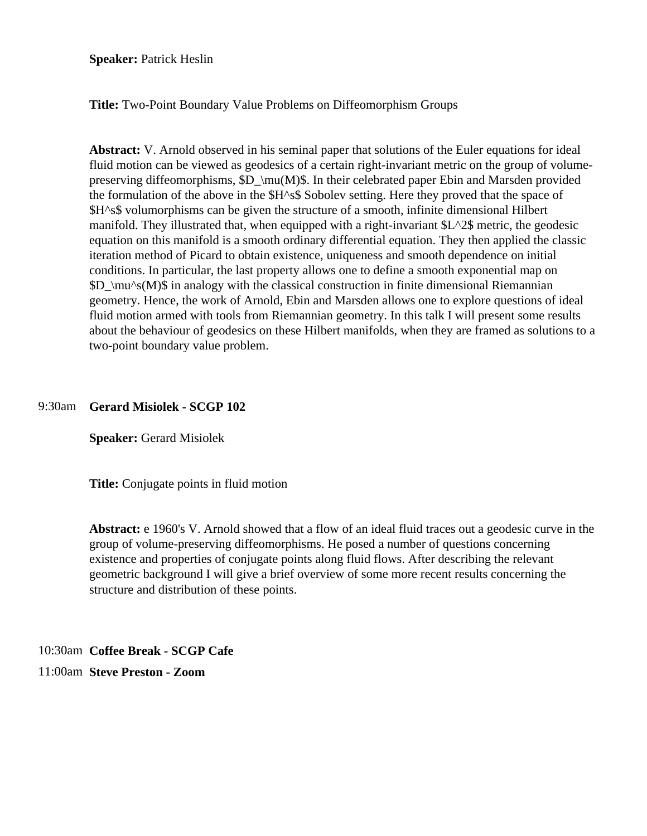**Speaker: Patrick Heslin** 

**Title:** Two-Point Boundary Value Problems on Diffeomorphism Groups

**Abstract:** V. Arnold observed in his seminal paper that solutions of the Euler equations for ideal fluid motion can be viewed as geodesics of a certain right-invariant metric on the group of volumepreserving diffeomorphisms,  $D \mu(M)\$ . In their celebrated paper Ebin and Marsden provided the formulation of the above in the \$H^s\$ Sobolev setting. Here they proved that the space of \$H^s\$ volumorphisms can be given the structure of a smooth, infinite dimensional Hilbert manifold. They illustrated that, when equipped with a right-invariant \$L^2\$ metric, the geodesic equation on this manifold is a smooth ordinary differential equation. They then applied the classic iteration method of Picard to obtain existence, uniqueness and smooth dependence on initial conditions. In particular, the last property allows one to define a smooth exponential map on  $D \mu^s(M)$  in analogy with the classical construction in finite dimensional Riemannian geometry. Hence, the work of Arnold, Ebin and Marsden allows one to explore questions of ideal fluid motion armed with tools from Riemannian geometry. In this talk I will present some results about the behaviour of geodesics on these Hilbert manifolds, when they are framed as solutions to a two-point boundary value problem.

#### 9:30am **Gerard Misiolek - SCGP 102**

**Speaker:** Gerard Misiolek

**Title:** Conjugate points in fluid motion

**Abstract:** e 1960's V. Arnold showed that a flow of an ideal fluid traces out a geodesic curve in the group of volume-preserving diffeomorphisms. He posed a number of questions concerning existence and properties of conjugate points along fluid flows. After describing the relevant geometric background I will give a brief overview of some more recent results concerning the structure and distribution of these points.

10:30am **Coffee Break - SCGP Cafe**

11:00am **Steve Preston - Zoom**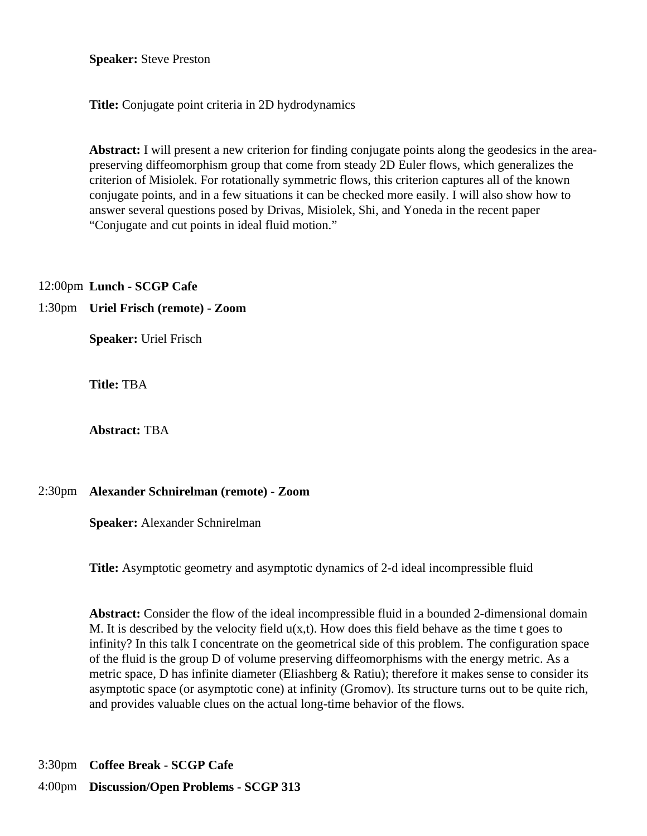**Speaker:** Steve Preston

**Title:** Conjugate point criteria in 2D hydrodynamics

**Abstract:** I will present a new criterion for finding conjugate points along the geodesics in the areapreserving diffeomorphism group that come from steady 2D Euler flows, which generalizes the criterion of Misiolek. For rotationally symmetric flows, this criterion captures all of the known conjugate points, and in a few situations it can be checked more easily. I will also show how to answer several questions posed by Drivas, Misiolek, Shi, and Yoneda in the recent paper "Conjugate and cut points in ideal fluid motion."

12:00pm **Lunch - SCGP Cafe**

#### 1:30pm **Uriel Frisch (remote) - Zoom**

**Speaker:** Uriel Frisch

**Title:** TBA

**Abstract:** TBA

#### 2:30pm **Alexander Schnirelman (remote) - Zoom**

**Speaker:** Alexander Schnirelman

**Title:** Asymptotic geometry and asymptotic dynamics of 2-d ideal incompressible fluid

**Abstract:** Consider the flow of the ideal incompressible fluid in a bounded 2-dimensional domain M. It is described by the velocity field  $u(x,t)$ . How does this field behave as the time t goes to infinity? In this talk I concentrate on the geometrical side of this problem. The configuration space of the fluid is the group D of volume preserving diffeomorphisms with the energy metric. As a metric space, D has infinite diameter (Eliashberg & Ratiu); therefore it makes sense to consider its asymptotic space (or asymptotic cone) at infinity (Gromov). Its structure turns out to be quite rich, and provides valuable clues on the actual long-time behavior of the flows.

3:30pm **Coffee Break - SCGP Cafe**

4:00pm **Discussion/Open Problems - SCGP 313**